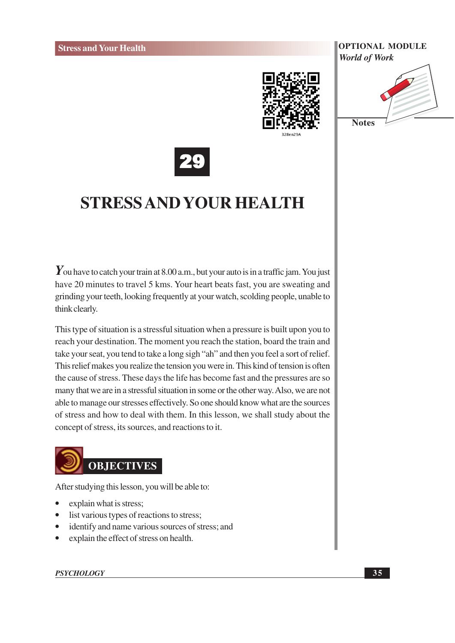

**Notes** 



## **STRESS AND YOUR HEALTH**

 $\gamma$  ou have to catch your train at 8.00 a.m., but your auto is in a traffic jam. You just have 20 minutes to travel 5 kms. Your heart beats fast, you are sweating and grinding your teeth, looking frequently at your watch, scolding people, unable to think clearly.

This type of situation is a stressful situation when a pressure is built upon you to reach your destination. The moment you reach the station, board the train and take your seat, you tend to take a long sigh "ah" and then you feel a sort of relief. This relief makes you realize the tension you were in. This kind of tension is often the cause of stress. These days the life has become fast and the pressures are so many that we are in a stressful situation in some or the other way. Also, we are not able to manage our stresses effectively. So one should know what are the sources of stress and how to deal with them. In this lesson, we shall study about the concept of stress, its sources, and reactions to it.

# **OBJECTIVES**

After studying this lesson, you will be able to:

- explain what is stress;
- list various types of reactions to stress;
- identify and name various sources of stress; and
- explain the effect of stress on health.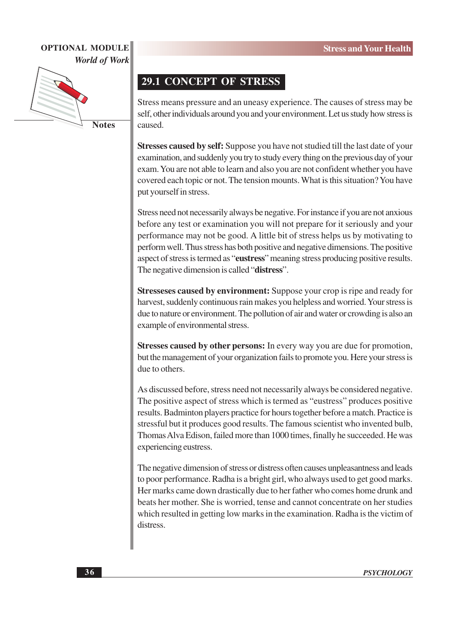

**Notes** 

#### **29.1 CONCEPT OF STRESS**

Stress means pressure and an uneasy experience. The causes of stress may be self, other individuals around you and your environment. Let us study how stress is caused.

Stresses caused by self: Suppose you have not studied till the last date of your examination, and suddenly you try to study every thing on the previous day of your exam. You are not able to learn and also you are not confident whether you have covered each topic or not. The tension mounts. What is this situation? You have put yourself in stress.

Stress need not necessarily always be negative. For instance if you are not anxious before any test or examination you will not prepare for it seriously and your performance may not be good. A little bit of stress helps us by motivating to perform well. Thus stress has both positive and negative dimensions. The positive aspect of stress is termed as "eustress" meaning stress producing positive results. The negative dimension is called "distress".

**Stresseses caused by environment:** Suppose your crop is ripe and ready for harvest, suddenly continuous rain makes you helpless and worried. Your stress is due to nature or environment. The pollution of air and water or crowding is also an example of environmental stress.

Stresses caused by other persons: In every way you are due for promotion, but the management of your organization fails to promote you. Here your stress is due to others.

As discussed before, stress need not necessarily always be considered negative. The positive aspect of stress which is termed as "eustress" produces positive results. Badminton players practice for hours together before a match. Practice is stressful but it produces good results. The famous scientist who invented bulb, Thomas Alva Edison, failed more than 1000 times, finally he succeeded. He was experiencing eustress.

The negative dimension of stress or distress often causes unpleasantness and leads to poor performance. Radha is a bright girl, who always used to get good marks. Her marks came down drastically due to her father who comes home drunk and beats her mother. She is worried, tense and cannot concentrate on her studies which resulted in getting low marks in the examination. Radha is the victim of distress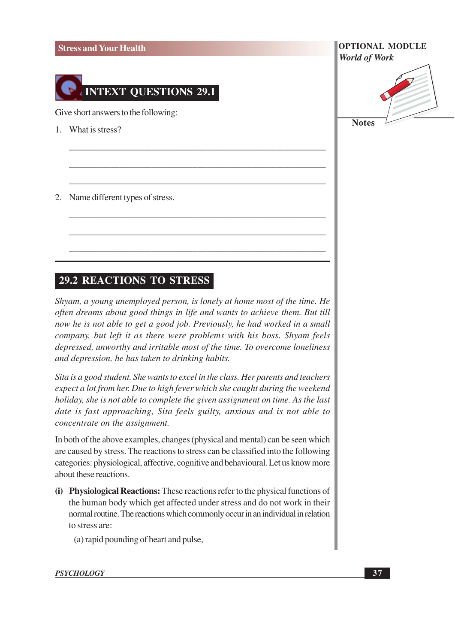#### **Stress and Your Health**



Give short answers to the following:

- 1. What is stress?
- 2. Name different types of stress.

#### **29.2 REACTIONS TO STRESS**

Shyam, a young unemployed person, is lonely at home most of the time. He often dreams about good things in life and wants to achieve them. But till now he is not able to get a good job. Previously, he had worked in a small company, but left it as there were problems with his boss. Shyam feels depressed, unworthy and irritable most of the time. To overcome loneliness and depression, he has taken to drinking habits.

Sita is a good student. She wants to excel in the class. Her parents and teachers expect a lot from her. Due to high fever which she caught during the weekend holiday, she is not able to complete the given assignment on time. As the last date is fast approaching, Sita feels guilty, anxious and is not able to concentrate on the assignment.

In both of the above examples, changes (physical and mental) can be seen which are caused by stress. The reactions to stress can be classified into the following categories: physiological, affective, cognitive and behavioural. Let us know more about these reactions.

- (i) Physiological Reactions: These reactions refer to the physical functions of the human body which get affected under stress and do not work in their normal routine. The reactions which commonly occur in an individual in relation to stress are:
	- (a) rapid pounding of heart and pulse,

#### **PSYCHOLOGY**

**OPTIONAL MODULE World of Work** 

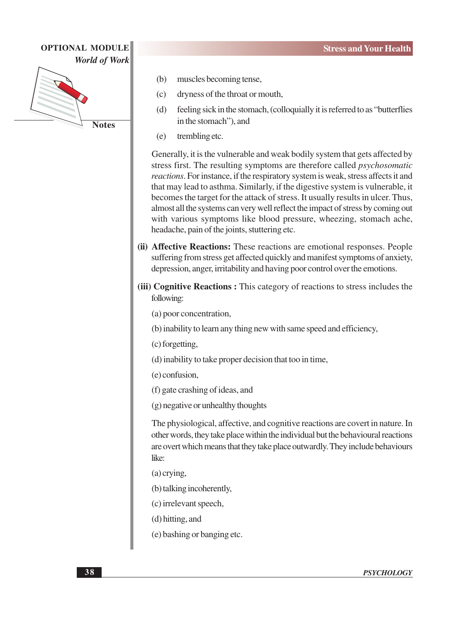**OPTIONAL MODULE** 

**World of Work** 



- $(c)$ dryness of the throat or mouth,
- $(d)$ feeling sick in the stomach, (colloquially it is referred to as "butterflies" in the stomach"), and
- $(e)$ trembling etc.

Generally, it is the vulnerable and weak bodily system that gets affected by stress first. The resulting symptoms are therefore called *psychosomatic* reactions. For instance, if the respiratory system is weak, stress affects it and that may lead to asthma. Similarly, if the digestive system is vulnerable, it becomes the target for the attack of stress. It usually results in ulcer. Thus, almost all the systems can very well reflect the impact of stress by coming out with various symptoms like blood pressure, wheezing, stomach ache, headache, pain of the joints, stuttering etc.

- (ii) Affective Reactions: These reactions are emotional responses. People suffering from stress get affected quickly and manifest symptoms of anxiety, depression, anger, irritability and having poor control over the emotions.
- (iii) Cognitive Reactions: This category of reactions to stress includes the following:
	- (a) poor concentration,
	- (b) inability to learn any thing new with same speed and efficiency,
	- (c) forgetting,
	- (d) inability to take proper decision that too in time,
	- (e) confusion.
	- (f) gate crashing of ideas, and
	- (g) negative or unhealthy thoughts

The physiological, affective, and cognitive reactions are covert in nature. In other words, they take place within the individual but the behavioural reactions are overt which means that they take place outwardly. They include behaviours like:

- $(a)$  crying,
- (b) talking incoherently,
- (c) irrelevant speech,
- (d) hitting, and
- (e) bashing or banging etc.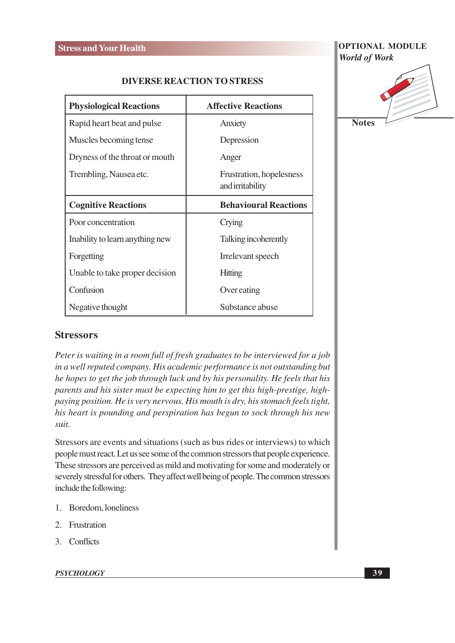#### **DIVERSE REACTION TO STRESS**

| <b>Physiological Reactions</b>  | <b>Affective Reactions</b>                   |  |
|---------------------------------|----------------------------------------------|--|
| Rapid heart beat and pulse      | Anxiety                                      |  |
| Muscles becoming tense          | Depression                                   |  |
| Dryness of the throat or mouth  | Anger                                        |  |
| Trembling, Nausea etc.          | Frustration, hopelesness<br>and irritability |  |
| <b>Cognitive Reactions</b>      | <b>Behavioural Reactions</b>                 |  |
| Poor concentration              | Crying                                       |  |
| Inability to learn anything new | Talking incoherently                         |  |
| Forgetting                      | Irrelevant speech                            |  |
| Unable to take proper decision  | Hitting                                      |  |
| Confusion                       | Over eating                                  |  |
| Negative thought                | Substance abuse                              |  |

#### **OPTIONAL MODULE World of Work**



#### **Stressors**

Peter is waiting in a room full of fresh graduates to be interviewed for a job in a well reputed company. His academic performance is not outstanding but he hopes to get the job through luck and by his personality. He feels that his parents and his sister must be expecting him to get this high-prestige, highpaying position. He is very nervous. His mouth is dry, his stomach feels tight, his heart is pounding and perspiration has begun to sock through his new suit.

Stressors are events and situations (such as bus rides or interviews) to which people must react. Let us see some of the common stressors that people experience. These stressors are perceived as mild and motivating for some and moderately or severely stressful for others. They affect well being of people. The common stressors include the following:

- 1. Boredom, loneliness
- 2. Frustration
- 3. Conflicts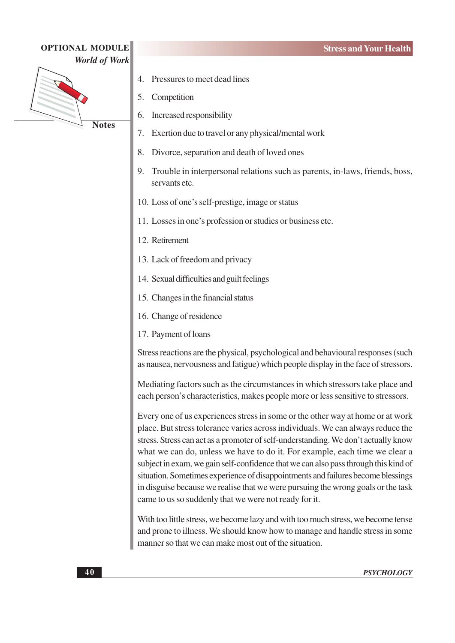



- Pressures to meet dead lines  $\overline{4}$
- $\overline{5}$ . Competition
- Increased responsibility 6.
- $7.$ Exertion due to travel or any physical/mental work
- 8. Divorce, separation and death of loved ones
- 9. Trouble in interpersonal relations such as parents, in-laws, friends, boss, servants etc.
- 10. Loss of one's self-prestige, image or status
- 11. Losses in one's profession or studies or business etc.
- 12. Retirement
- 13. Lack of freedom and privacy
- 14. Sexual difficulties and guilt feelings
- 15. Changes in the financial status
- 16. Change of residence
- 17. Payment of loans

Stress reactions are the physical, psychological and behavioural responses (such as nausea, nervousness and fatigue) which people display in the face of stressors.

Mediating factors such as the circumstances in which stressors take place and each person's characteristics, makes people more or less sensitive to stressors.

Every one of us experiences stress in some or the other way at home or at work place. But stress tolerance varies across individuals. We can always reduce the stress. Stress can act as a promoter of self-understanding. We don't actually know what we can do, unless we have to do it. For example, each time we clear a subject in exam, we gain self-confidence that we can also pass through this kind of situation. Sometimes experience of disappointments and failures become blessings in disguise because we realise that we were pursuing the wrong goals or the task came to us so suddenly that we were not ready for it.

With too little stress, we become lazy and with too much stress, we become tense and prone to illness. We should know how to manage and handle stress in some manner so that we can make most out of the situation.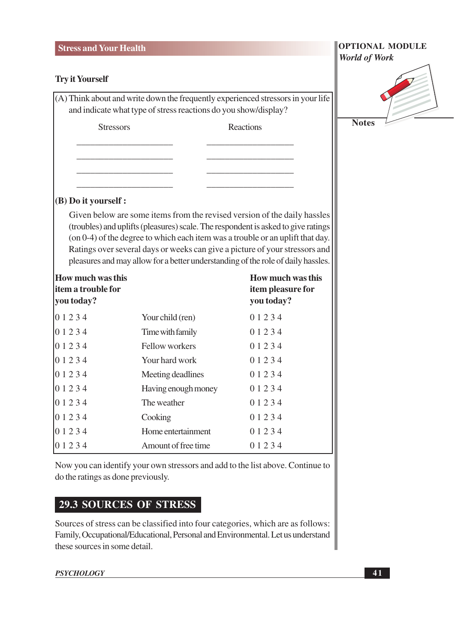#### **Stress and Your Health**

#### **Try it Yourself**

(A) Think about and write down the frequently experienced stressors in your life and indicate what type of stress reactions do you show/display?

**Stressors** 

**Reactions** 

#### **OPTIONAL MODULE World of Work**



#### (B) Do it yourself :

Given below are some items from the revised version of the daily hassles (troubles) and uplifts (pleasures) scale. The respondent is asked to give ratings (on 0-4) of the degree to which each item was a trouble or an uplift that day. Ratings over several days or weeks can give a picture of your stressors and pleasures and may allow for a better understanding of the role of daily hassles.

| <b>How much was this</b><br>item a trouble for<br>you today? |                     | <b>How much was this</b><br>item pleasure for<br>you today? |
|--------------------------------------------------------------|---------------------|-------------------------------------------------------------|
| 01234                                                        | Your child (ren)    | 0 1 2 3 4                                                   |
| 01234                                                        | Time with family    | 0 1 2 3 4                                                   |
| 01234                                                        | Fellow workers      | 0 1 2 3 4                                                   |
| 01234                                                        | Your hard work      | 0 1 2 3 4                                                   |
| 01234                                                        | Meeting deadlines   | 0 1 2 3 4                                                   |
| 01234                                                        | Having enough money | 0 1 2 3 4                                                   |
| 0 1 2 3 4                                                    | The weather         | 0 1 2 3 4                                                   |
| 01234                                                        | Cooking             | 0 1 2 3 4                                                   |
| 01234                                                        | Home entertainment  | 0 1 2 3 4                                                   |
| 01234                                                        | Amount of free time | 0 1 2 3 4                                                   |

Now you can identify your own stressors and add to the list above. Continue to do the ratings as done previously.

#### **29.3 SOURCES OF STRESS**

Sources of stress can be classified into four categories, which are as follows: Family, Occupational/Educational, Personal and Environmental. Let us understand these sources in some detail.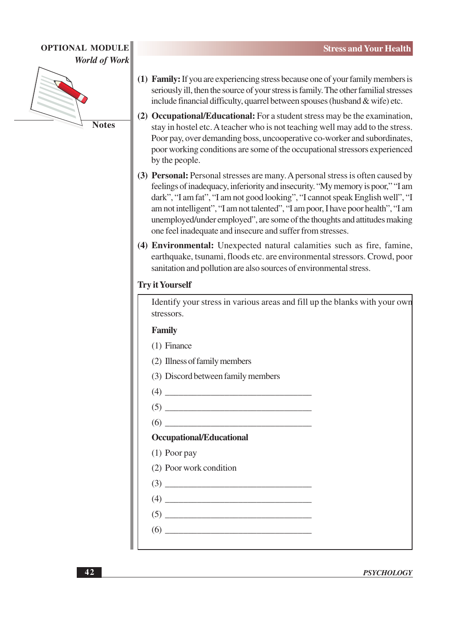

- (1) Family: If you are experiencing stress because one of your family members is seriously ill, then the source of your stress is family. The other familial stresses include financial difficulty, quarrel between spouses (husband & wife) etc.
- (2) Occupational/Educational: For a student stress may be the examination, stay in hostel etc. A teacher who is not teaching well may add to the stress. Poor pay, over demanding boss, uncooperative co-worker and subordinates, poor working conditions are some of the occupational stressors experienced by the people.
- (3) Personal: Personal stresses are many. A personal stress is often caused by feelings of inadequacy, inferiority and insecurity. "My memory is poor," "I am dark", "I am fat", "I am not good looking", "I cannot speak English well", "I am not intelligent", "I am not talented", "I am poor, I have poor health", "I am unemployed/under employed", are some of the thoughts and attitudes making one feel inadequate and insecure and suffer from stresses.
- (4) Environmental: Unexpected natural calamities such as fire, famine, earthquake, tsunami, floods etc. are environmental stressors. Crowd, poor sanitation and pollution are also sources of environmental stress.

#### **Try it Yourself**

Identify your stress in various areas and fill up the blanks with your own stressors.

#### Family

- $(1)$  Finance
- (2) Illness of family members
- (3) Discord between family members
- $(4)$
- $(5)$
- $(6)$

#### **Occupational/Educational**

- $(1)$  Poor pay
- (2) Poor work condition
- $\left(3\right)$   $\qquad \qquad$
- $(4)$  $(5)$
- $(6)$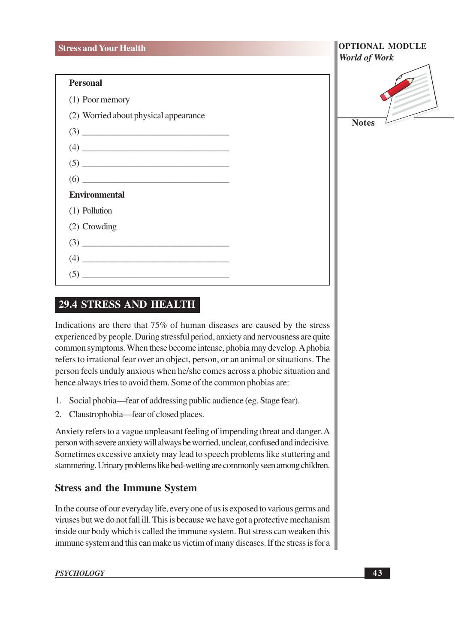#### **Personal**

#### **29.4 STRESS AND HEALTH**

Indications are there that 75% of human diseases are caused by the stress experienced by people. During stressful period, anxiety and nervousness are quite common symptoms. When these become intense, phobia may develop. A phobia refers to irrational fear over an object, person, or an animal or situations. The person feels unduly anxious when he/she comes across a phobic situation and hence always tries to avoid them. Some of the common phobias are:

- 1. Social phobia—fear of addressing public audience (eg. Stage fear).
- 2. Claustrophobia—fear of closed places.

Anxiety refers to a vague unpleasant feeling of impending threat and danger. A person with severe anxiety will always be worried, unclear, confused and indecisive. Sometimes excessive anxiety may lead to speech problems like stuttering and stammering. Urinary problems like bed-wetting are commonly seen among children.

#### **Stress and the Immune System**

In the course of our everyday life, every one of us is exposed to various germs and viruses but we do not fall ill. This is because we have got a protective mechanism inside our body which is called the immune system. But stress can weaken this immune system and this can make us victim of many diseases. If the stress is for a

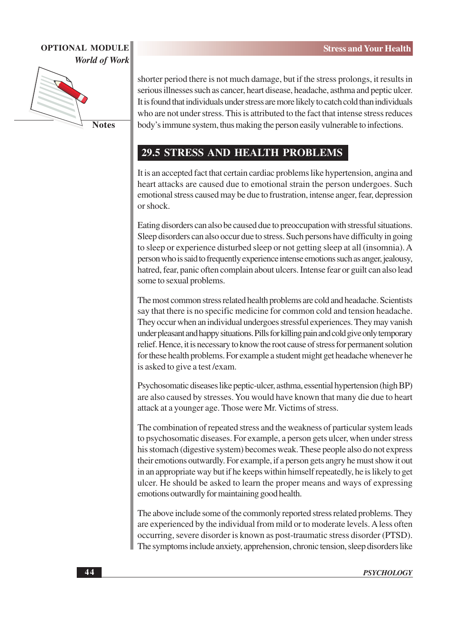

**Notes** 

shorter period there is not much damage, but if the stress prolongs, it results in serious illnesses such as cancer, heart disease, headache, asthma and peptic ulcer. It is found that individuals under stress are more likely to catch cold than individuals who are not under stress. This is attributed to the fact that intense stress reduces body's immune system, thus making the person easily vulnerable to infections.

#### **29.5 STRESS AND HEALTH PROBLEMS**

It is an accepted fact that certain cardiac problems like hypertension, angina and heart attacks are caused due to emotional strain the person undergoes. Such emotional stress caused may be due to frustration, intense anger, fear, depression  $or shock$ 

Eating disorders can also be caused due to preoccupation with stressful situations. Sleep disorders can also occur due to stress. Such persons have difficulty in going to sleep or experience disturbed sleep or not getting sleep at all (insomnia). A person who is said to frequently experience intense emotions such as anger, jealousy, hatred, fear, panic often complain about ulcers. Intense fear or guilt can also lead some to sexual problems.

The most common stress related health problems are cold and headache. Scientists say that there is no specific medicine for common cold and tension headache. They occur when an individual undergoes stressful experiences. They may vanish under pleasant and happy situations. Pills for killing pain and cold give only temporary relief. Hence, it is necessary to know the root cause of stress for permanent solution for these health problems. For example a student might get headache whenever he is asked to give a test/exam.

Psychosomatic diseases like peptic-ulcer, asthma, essential hypertension (high BP) are also caused by stresses. You would have known that many die due to heart attack at a younger age. Those were Mr. Victims of stress.

The combination of repeated stress and the weakness of particular system leads to psychosomatic diseases. For example, a person gets ulcer, when under stress his stomach (digestive system) becomes weak. These people also do not express their emotions outwardly. For example, if a person gets angry he must show it out in an appropriate way but if he keeps within himself repeatedly, he is likely to get ulcer. He should be asked to learn the proper means and ways of expressing emotions outwardly for maintaining good health.

The above include some of the commonly reported stress related problems. They are experienced by the individual from mild or to moderate levels. A less often occurring, severe disorder is known as post-traumatic stress disorder (PTSD). The symptoms include anxiety, apprehension, chronic tension, sleep disorders like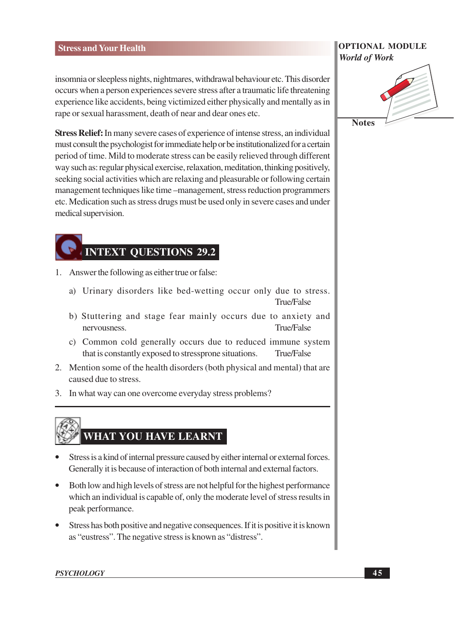#### **Stress and Your Health**

insomnia or sleepless nights, nightmares, withdrawal behaviour etc. This disorder occurs when a person experiences severe stress after a traumatic life threatening experience like accidents, being victimized either physically and mentally as in rape or sexual harassment, death of near and dear ones etc.

Stress Relief: In many severe cases of experience of intense stress, an individual must consult the psychologist for immediate help or be institutionalized for a certain period of time. Mild to moderate stress can be easily relieved through different way such as: regular physical exercise, relaxation, meditation, thinking positively, seeking social activities which are relaxing and pleasurable or following certain management techniques like time –management, stress reduction programmers etc. Medication such as stress drugs must be used only in severe cases and under medical supervision.

### **INTEXT OUESTIONS 29.2**

- 1. Answer the following as either true or false:
	- a) Urinary disorders like bed-wetting occur only due to stress. True/False
	- b) Stuttering and stage fear mainly occurs due to anxiety and nervousness. True/False
	- c) Common cold generally occurs due to reduced immune system that is constantly exposed to stressprone situations. True/False
- 2. Mention some of the health disorders (both physical and mental) that are caused due to stress.
- 3. In what way can one overcome everyday stress problems?

## WHAT YOU HAVE LEARNT

- Stress is a kind of internal pressure caused by either internal or external forces. Generally it is because of interaction of both internal and external factors.
- Both low and high levels of stress are not helpful for the highest performance which an individual is capable of, only the moderate level of stress results in peak performance.
- Stress has both positive and negative consequences. If it is positive it is known as "eustress". The negative stress is known as "distress".

#### **OPTIONAL MODULE World of Work**